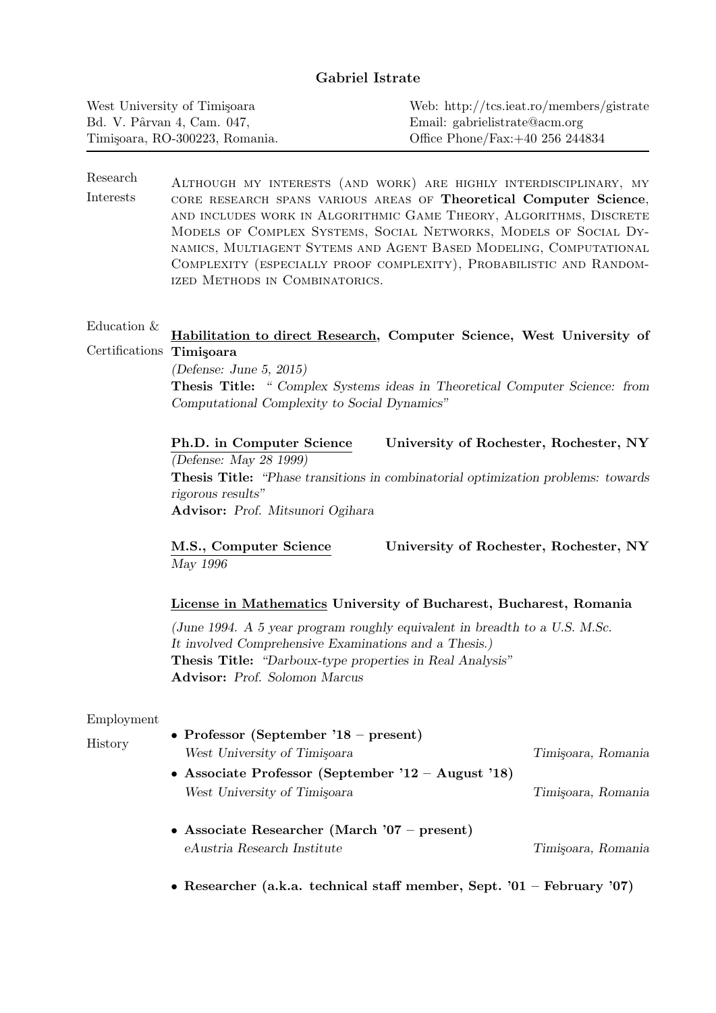# Gabriel Istrate

| West University of Timisoara   | Web: http://tcs.ieat.ro/members/gistrate |
|--------------------------------|------------------------------------------|
| Bd. V. Pârvan 4, Cam. 047,     | Email: gabrielistrate@acm.org            |
| Timisoara, RO-300223, Romania. | Office Phone/Fax: $+40$ 256 244834       |

Research Interests Although my interests (and work) are highly interdisciplinary, my core research spans various areas of Theoretical Computer Science, and includes work in Algorithmic Game Theory, Algorithms, Discrete Models of Complex Systems, Social Networks, Models of Social Dynamics, Multiagent Sytems and Agent Based Modeling, Computational Complexity (especially proof complexity), Probabilistic and Randomized Methods in Combinatorics.

#### Education & Certifications Timişoara Habilitation to direct Research, Computer Science, West University of

(Defense: June 5, 2015) Thesis Title: " Complex Systems ideas in Theoretical Computer Science: from Computational Complexity to Social Dynamics"

Ph.D. in Computer Science University of Rochester, Rochester, NY (Defense: May 28 1999) Thesis Title: "Phase transitions in combinatorial optimization problems: towards rigorous results" Advisor: Prof. Mitsunori Ogihara

M.S., Computer Science University of Rochester, Rochester, NY May 1996

## License in Mathematics University of Bucharest, Bucharest, Romania

(June 1994. A 5 year program roughly equivalent in breadth to a U.S. M.Sc. It involved Comprehensive Examinations and a Thesis.) Thesis Title: "Darboux-type properties in Real Analysis" Advisor: Prof. Solomon Marcus

#### Employment

History

| • Professor (September '18 – present)                 |                    |
|-------------------------------------------------------|--------------------|
| West University of Timisoara                          | Timisoara, Romania |
| • Associate Professor (September $12 -$ August $18$ ) |                    |
| West University of Timisoara                          | Timisoara, Romania |
| • Associate Researcher (March '07 – present)          |                    |
| eAustria Research Institute                           | Timisoara, Romania |

• Researcher (a.k.a. technical staff member, Sept. '01 – February '07)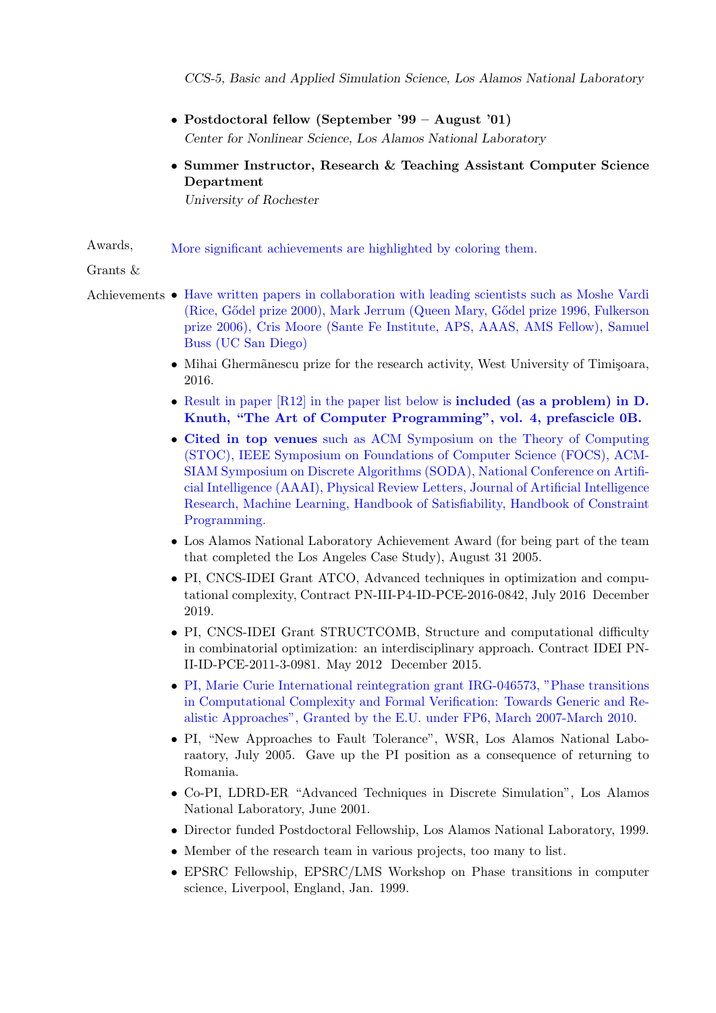CCS-5, Basic and Applied Simulation Science, Los Alamos National Laboratory

- Postdoctoral fellow (September '99 August '01) Center for Nonlinear Science, Los Alamos National Laboratory
- Summer Instructor, Research & Teaching Assistant Computer Science Department

University of Rochester

Awards, More significant achievements are highlighted by coloring them.

Grants &

- Achievements Have written papers in collaboration with leading scientists such as Moshe Vardi (Rice, G˝odel prize 2000), Mark Jerrum (Queen Mary, G˝odel prize 1996, Fulkerson prize 2006), Cris Moore (Sante Fe Institute, APS, AAAS, AMS Fellow), Samuel Buss (UC San Diego)
	- Mihai Ghermãnescu prize for the research activity, West University of Timișoara, 2016.
	- Result in paper [R12] in the paper list below is **included** (as a problem) in D. Knuth, "The Art of Computer Programming", vol. 4, prefascicle 0B.
	- Cited in top venues such as ACM Symposium on the Theory of Computing (STOC), IEEE Symposium on Foundations of Computer Science (FOCS), ACM-SIAM Symposium on Discrete Algorithms (SODA), National Conference on Artificial Intelligence (AAAI), Physical Review Letters, Journal of Artificial Intelligence Research, Machine Learning, Handbook of Satisfiability, Handbook of Constraint Programming.
	- Los Alamos National Laboratory Achievement Award (for being part of the team that completed the Los Angeles Case Study), August 31 2005.
	- PI, CNCS-IDEI Grant ATCO, Advanced techniques in optimization and computational complexity, Contract PN-III-P4-ID-PCE-2016-0842, July 2016 December 2019.
	- PI, CNCS-IDEI Grant STRUCTCOMB, Structure and computational difficulty in combinatorial optimization: an interdisciplinary approach. Contract IDEI PN-II-ID-PCE-2011-3-0981. May 2012 December 2015.
	- PI, Marie Curie International reintegration grant IRG-046573, "Phase transitions in Computational Complexity and Formal Verification: Towards Generic and Realistic Approaches", Granted by the E.U. under FP6, March 2007-March 2010.
	- PI, "New Approaches to Fault Tolerance", WSR, Los Alamos National Laboraatory, July 2005. Gave up the PI position as a consequence of returning to Romania.
	- Co-PI, LDRD-ER "Advanced Techniques in Discrete Simulation", Los Alamos National Laboratory, June 2001.
	- Director funded Postdoctoral Fellowship, Los Alamos National Laboratory, 1999.
	- Member of the research team in various projects, too many to list.
	- EPSRC Fellowship, EPSRC/LMS Workshop on Phase transitions in computer science, Liverpool, England, Jan. 1999.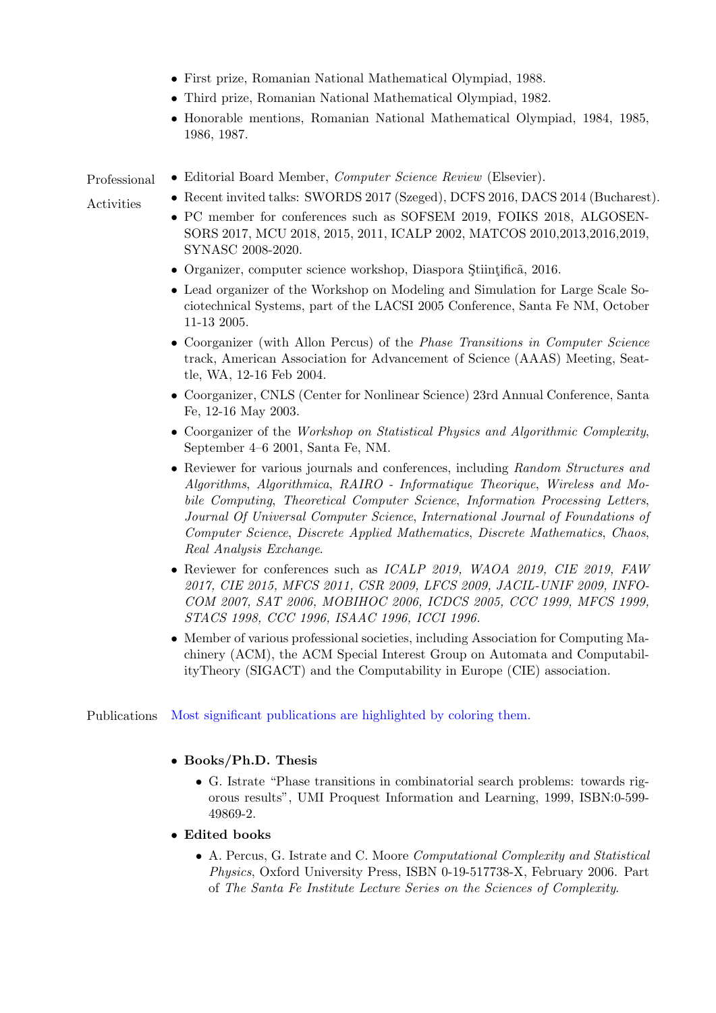- First prize, Romanian National Mathematical Olympiad, 1988.
- Third prize, Romanian National Mathematical Olympiad, 1982.
- Honorable mentions, Romanian National Mathematical Olympiad, 1984, 1985, 1986, 1987.

#### Professional

- Activities
- Editorial Board Member, Computer Science Review (Elsevier).
- Recent invited talks: SWORDS 2017 (Szeged), DCFS 2016, DACS 2014 (Bucharest).
	- PC member for conferences such as SOFSEM 2019, FOIKS 2018, ALGOSEN-SORS 2017, MCU 2018, 2015, 2011, ICALP 2002, MATCOS 2010,2013,2016,2019, SYNASC 2008-2020.
	- Organizer, computer science workshop, Diaspora Stiintificã, 2016.
	- Lead organizer of the Workshop on Modeling and Simulation for Large Scale Sociotechnical Systems, part of the LACSI 2005 Conference, Santa Fe NM, October 11-13 2005.
	- Coorganizer (with Allon Percus) of the *Phase Transitions in Computer Science* track, American Association for Advancement of Science (AAAS) Meeting, Seattle, WA, 12-16 Feb 2004.
	- Coorganizer, CNLS (Center for Nonlinear Science) 23rd Annual Conference, Santa Fe, 12-16 May 2003.
	- Coorganizer of the Workshop on Statistical Physics and Algorithmic Complexity, September 4–6 2001, Santa Fe, NM.
	- Reviewer for various journals and conferences, including Random Structures and Algorithms, Algorithmica, RAIRO - Informatique Theorique, Wireless and Mobile Computing, Theoretical Computer Science, Information Processing Letters, Journal Of Universal Computer Science, International Journal of Foundations of Computer Science, Discrete Applied Mathematics, Discrete Mathematics, Chaos, Real Analysis Exchange.
	- Reviewer for conferences such as *ICALP 2019*, *WAOA 2019*, *CIE 2019*, *FAW* 2017, CIE 2015, MFCS 2011, CSR 2009, LFCS 2009, JACIL-UNIF 2009, INFO-COM 2007, SAT 2006, MOBIHOC 2006, ICDCS 2005, CCC 1999, MFCS 1999, STACS 1998, CCC 1996, ISAAC 1996, ICCI 1996.
	- Member of various professional societies, including Association for Computing Machinery (ACM), the ACM Special Interest Group on Automata and ComputabilityTheory (SIGACT) and the Computability in Europe (CIE) association.

Publications Most significant publications are highlighted by coloring them.

## • Books/Ph.D. Thesis

- G. Istrate "Phase transitions in combinatorial search problems: towards rigorous results", UMI Proquest Information and Learning, 1999, ISBN:0-599- 49869-2.
- Edited books
	- A. Percus, G. Istrate and C. Moore Computational Complexity and Statistical Physics, Oxford University Press, ISBN 0-19-517738-X, February 2006. Part of The Santa Fe Institute Lecture Series on the Sciences of Complexity.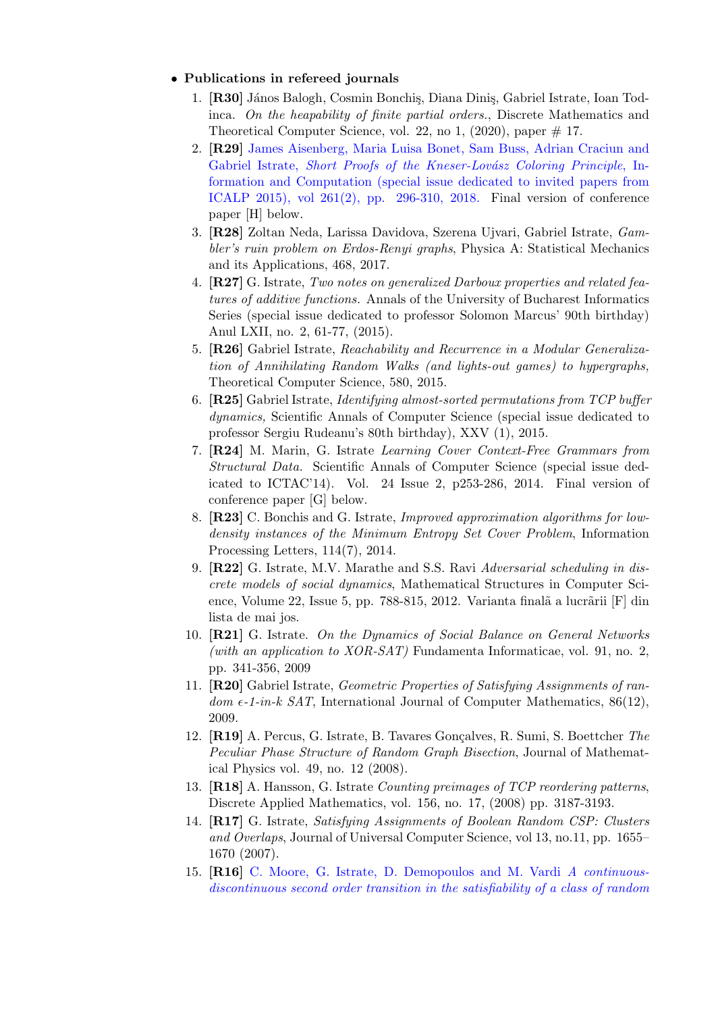## • Publications in refereed journals

- 1. [R30] János Balogh, Cosmin Bonchis, Diana Dinis, Gabriel Istrate, Ioan Todinca. On the heapability of finite partial orders., Discrete Mathematics and Theoretical Computer Science, vol. 22, no 1,  $(2020)$ , paper  $\#$  17.
- 2. [R29] James Aisenberg, Maria Luisa Bonet, Sam Buss, Adrian Craciun and Gabriel Istrate, Short Proofs of the Kneser-Lovász Coloring Principle, Information and Computation (special issue dedicated to invited papers from ICALP 2015), vol  $261(2)$ , pp. 296-310, 2018. Final version of conference paper [H] below.
- 3. [R28] Zoltan Neda, Larissa Davidova, Szerena Ujvari, Gabriel Istrate, Gambler's ruin problem on Erdos-Renyi graphs, Physica A: Statistical Mechanics and its Applications, 468, 2017.
- 4. [R27] G. Istrate, Two notes on generalized Darboux properties and related features of additive functions. Annals of the University of Bucharest Informatics Series (special issue dedicated to professor Solomon Marcus' 90th birthday) Anul LXII, no. 2, 61-77, (2015).
- 5. [R26] Gabriel Istrate, Reachability and Recurrence in a Modular Generalization of Annihilating Random Walks (and lights-out games) to hypergraphs, Theoretical Computer Science, 580, 2015.
- 6. [R25] Gabriel Istrate, Identifying almost-sorted permutations from TCP buffer dynamics, Scientific Annals of Computer Science (special issue dedicated to professor Sergiu Rudeanu's 80th birthday), XXV (1), 2015.
- 7. [R24] M. Marin, G. Istrate Learning Cover Context-Free Grammars from Structural Data. Scientific Annals of Computer Science (special issue dedicated to ICTAC'14). Vol. 24 Issue 2, p253-286, 2014. Final version of conference paper [G] below.
- 8. [R23] C. Bonchis and G. Istrate, Improved approximation algorithms for lowdensity instances of the Minimum Entropy Set Cover Problem, Information Processing Letters, 114(7), 2014.
- 9. [R22] G. Istrate, M.V. Marathe and S.S. Ravi Adversarial scheduling in discrete models of social dynamics, Mathematical Structures in Computer Science, Volume 22, Issue 5, pp. 788-815, 2012. Varianta finalã a lucrãrii [F] din lista de mai jos.
- 10. **[R21]** G. Istrate. On the Dynamics of Social Balance on General Networks (with an application to XOR-SAT) Fundamenta Informaticae, vol. 91, no. 2, pp. 341-356, 2009
- 11. [R20] Gabriel Istrate, Geometric Properties of Satisfying Assignments of ran $dom \epsilon$ -1-in-k SAT, International Journal of Computer Mathematics, 86(12), 2009.
- 12. [R19] A. Percus, G. Istrate, B. Tavares Gonçalves, R. Sumi, S. Boettcher The Peculiar Phase Structure of Random Graph Bisection, Journal of Mathematical Physics vol. 49, no. 12 (2008).
- 13. [R18] A. Hansson, G. Istrate Counting preimages of TCP reordering patterns, Discrete Applied Mathematics, vol. 156, no. 17, (2008) pp. 3187-3193.
- 14. [R17] G. Istrate, Satisfying Assignments of Boolean Random CSP: Clusters and Overlaps, Journal of Universal Computer Science, vol 13, no.11, pp. 1655– 1670 (2007).
- 15. [R16] C. Moore, G. Istrate, D. Demopoulos and M. Vardi A continuousdiscontinuous second order transition in the satisfiability of a class of random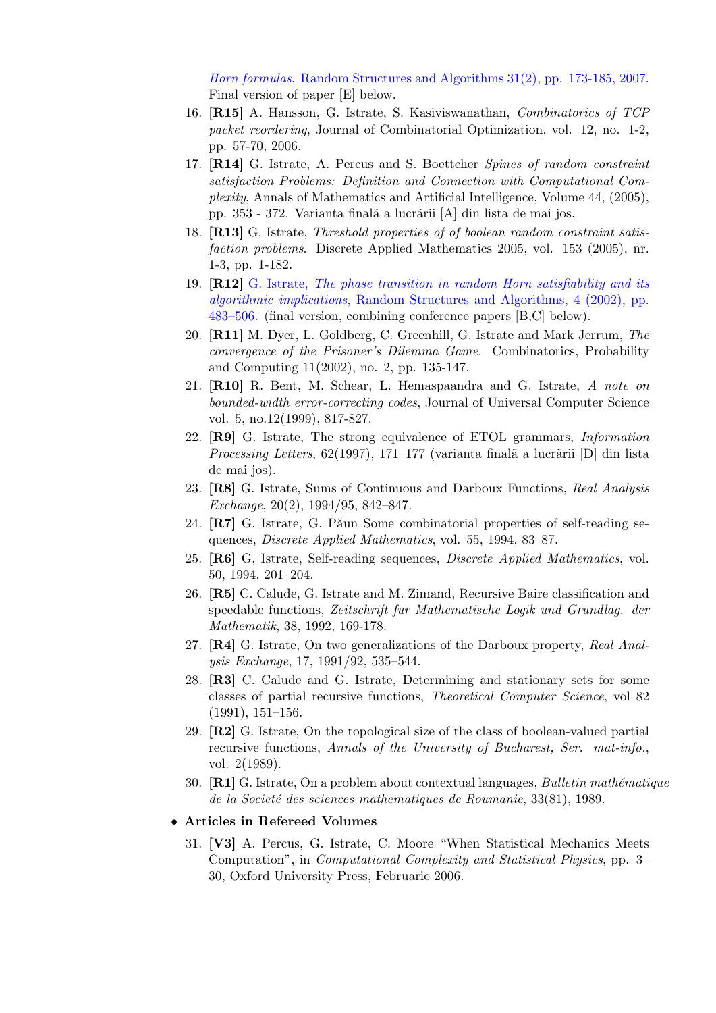Horn formulas. Random Structures and Algorithms 31(2), pp. 173-185, 2007. Final version of paper [E] below.

- 16. [R15] A. Hansson, G. Istrate, S. Kasiviswanathan, Combinatorics of TCP packet reordering, Journal of Combinatorial Optimization, vol. 12, no. 1-2, pp. 57-70, 2006.
- 17. [R14] G. Istrate, A. Percus and S. Boettcher Spines of random constraint satisfaction Problems: Definition and Connection with Computational Complexity, Annals of Mathematics and Artificial Intelligence, Volume 44, (2005), pp. 353 - 372. Varianta finalã a lucrãrii [A] din lista de mai jos.
- 18. [R13] G. Istrate, Threshold properties of of boolean random constraint satisfaction problems. Discrete Applied Mathematics 2005, vol. 153 (2005), nr. 1-3, pp. 1-182.
- 19. [R12] G. Istrate, The phase transition in random Horn satisfiability and its algorithmic implications, Random Structures and Algorithms, 4 (2002), pp. 483–506. (final version, combining conference papers [B,C] below).
- 20. [R11] M. Dyer, L. Goldberg, C. Greenhill, G. Istrate and Mark Jerrum, The convergence of the Prisoner's Dilemma Game. Combinatorics, Probability and Computing 11(2002), no. 2, pp. 135-147.
- 21. [R10] R. Bent, M. Schear, L. Hemaspaandra and G. Istrate, A note on bounded-width error-correcting codes, Journal of Universal Computer Science vol. 5, no.12(1999), 817-827.
- 22. [R9] G. Istrate, The strong equivalence of ETOL grammars, Information Processing Letters,  $62(1997)$ , 171–177 (varianta finalã a lucrãrii [D] din lista de mai jos).
- 23. [R8] G. Istrate, Sums of Continuous and Darboux Functions, Real Analysis Exchange, 20(2), 1994/95, 842–847.
- 24.  $\mathbb{R}7$  G. Istrate, G. Păun Some combinatorial properties of self-reading sequences, Discrete Applied Mathematics, vol. 55, 1994, 83–87.
- 25. [R6] G, Istrate, Self-reading sequences, Discrete Applied Mathematics, vol. 50, 1994, 201–204.
- 26. [R5] C. Calude, G. Istrate and M. Zimand, Recursive Baire classification and speedable functions, Zeitschrift fur Mathematische Logik und Grundlag. der Mathematik, 38, 1992, 169-178.
- 27. [R4] G. Istrate, On two generalizations of the Darboux property, Real Analysis Exchange, 17, 1991/92, 535–544.
- 28. [R3] C. Calude and G. Istrate, Determining and stationary sets for some classes of partial recursive functions, Theoretical Computer Science, vol 82 (1991), 151–156.
- 29. [R2] G. Istrate, On the topological size of the class of boolean-valued partial recursive functions, Annals of the University of Bucharest, Ser. mat-info., vol. 2(1989).
- 30.  $[R1]$  G. Istrate, On a problem about contextual languages, *Bulletin mathématique* de la Societé des sciences mathematiques de Roumanie, 33(81), 1989.
- Articles in Refereed Volumes
	- 31. [V3] A. Percus, G. Istrate, C. Moore "When Statistical Mechanics Meets Computation", in Computational Complexity and Statistical Physics, pp. 3– 30, Oxford University Press, Februarie 2006.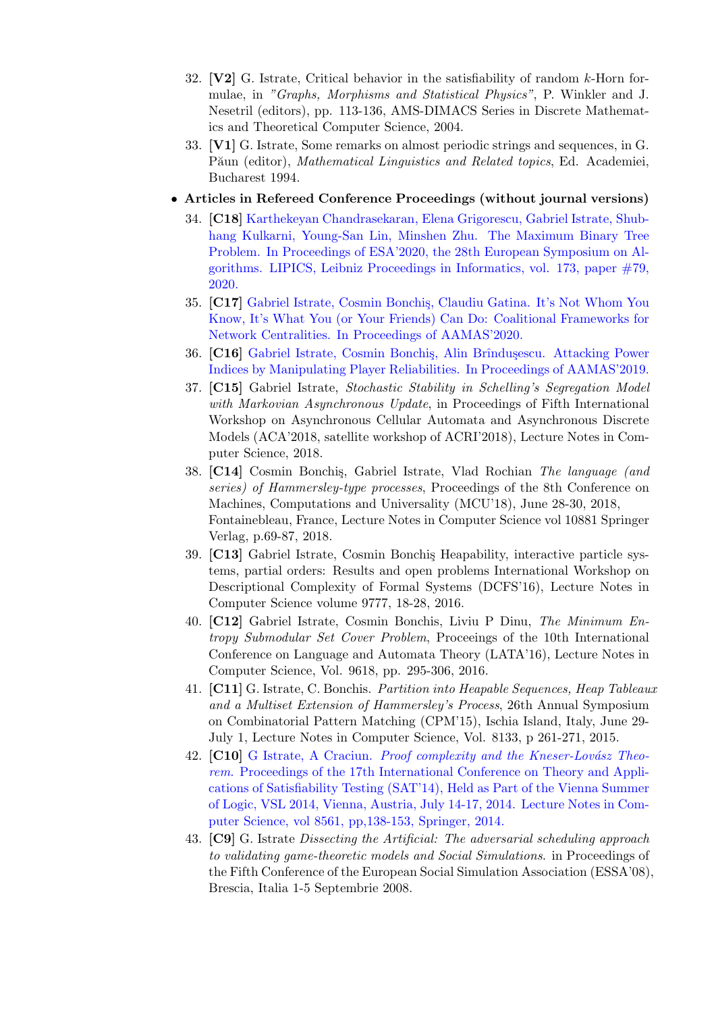- 32. [V2] G. Istrate, Critical behavior in the satisfiability of random k-Horn formulae, in "Graphs, Morphisms and Statistical Physics", P. Winkler and J. Nesetril (editors), pp. 113-136, AMS-DIMACS Series in Discrete Mathematics and Theoretical Computer Science, 2004.
- 33. [V1] G. Istrate, Some remarks on almost periodic strings and sequences, in G. Păun (editor), Mathematical Linguistics and Related topics, Ed. Academiei, Bucharest 1994.

## • Articles in Refereed Conference Proceedings (without journal versions)

- 34. [C18] Karthekeyan Chandrasekaran, Elena Grigorescu, Gabriel Istrate, Shubhang Kulkarni, Young-San Lin, Minshen Zhu. The Maximum Binary Tree Problem. In Proceedings of ESA'2020, the 28th European Symposium on Algorithms. LIPICS, Leibniz Proceedings in Informatics, vol. 173, paper #79, 2020.
- 35. [C17] Gabriel Istrate, Cosmin Bonchis, Claudiu Gatina. It's Not Whom You Know, It's What You (or Your Friends) Can Do: Coalitional Frameworks for Network Centralities. In Proceedings of AAMAS'2020.
- 36. [C16] Gabriel Istrate, Cosmin Bonchis, Alin Brîndusescu. Attacking Power Indices by Manipulating Player Reliabilities. In Proceedings of AAMAS'2019.
- 37. [C15] Gabriel Istrate, Stochastic Stability in Schelling's Segregation Model with Markovian Asynchronous Update, in Proceedings of Fifth International Workshop on Asynchronous Cellular Automata and Asynchronous Discrete Models (ACA'2018, satellite workshop of ACRI'2018), Lecture Notes in Computer Science, 2018.
- 38. [C14] Cosmin Bonchis, Gabriel Istrate, Vlad Rochian The language (and series) of Hammersley-type processes, Proceedings of the 8th Conference on Machines, Computations and Universality (MCU'18), June 28-30, 2018, Fontainebleau, France, Lecture Notes in Computer Science vol 10881 Springer Verlag, p.69-87, 2018.
- 39. [C13] Gabriel Istrate, Cosmin Bonchis Heapability, interactive particle systems, partial orders: Results and open problems International Workshop on Descriptional Complexity of Formal Systems (DCFS'16), Lecture Notes in Computer Science volume 9777, 18-28, 2016.
- 40. [C12] Gabriel Istrate, Cosmin Bonchis, Liviu P Dinu, The Minimum Entropy Submodular Set Cover Problem, Proceeings of the 10th International Conference on Language and Automata Theory (LATA'16), Lecture Notes in Computer Science, Vol. 9618, pp. 295-306, 2016.
- 41. [C11] G. Istrate, C. Bonchis. Partition into Heapable Sequences, Heap Tableaux and a Multiset Extension of Hammersley's Process, 26th Annual Symposium on Combinatorial Pattern Matching (CPM'15), Ischia Island, Italy, June 29- July 1, Lecture Notes in Computer Science, Vol. 8133, p 261-271, 2015.
- 42. [C10] G Istrate, A Craciun. *Proof complexity and the Kneser-Lovász Theo*rem. Proceedings of the 17th International Conference on Theory and Applications of Satisfiability Testing (SAT'14), Held as Part of the Vienna Summer of Logic, VSL 2014, Vienna, Austria, July 14-17, 2014. Lecture Notes in Computer Science, vol 8561, pp,138-153, Springer, 2014.
- 43. [C9] G. Istrate Dissecting the Artificial: The adversarial scheduling approach to validating game-theoretic models and Social Simulations. in Proceedings of the Fifth Conference of the European Social Simulation Association (ESSA'08), Brescia, Italia 1-5 Septembrie 2008.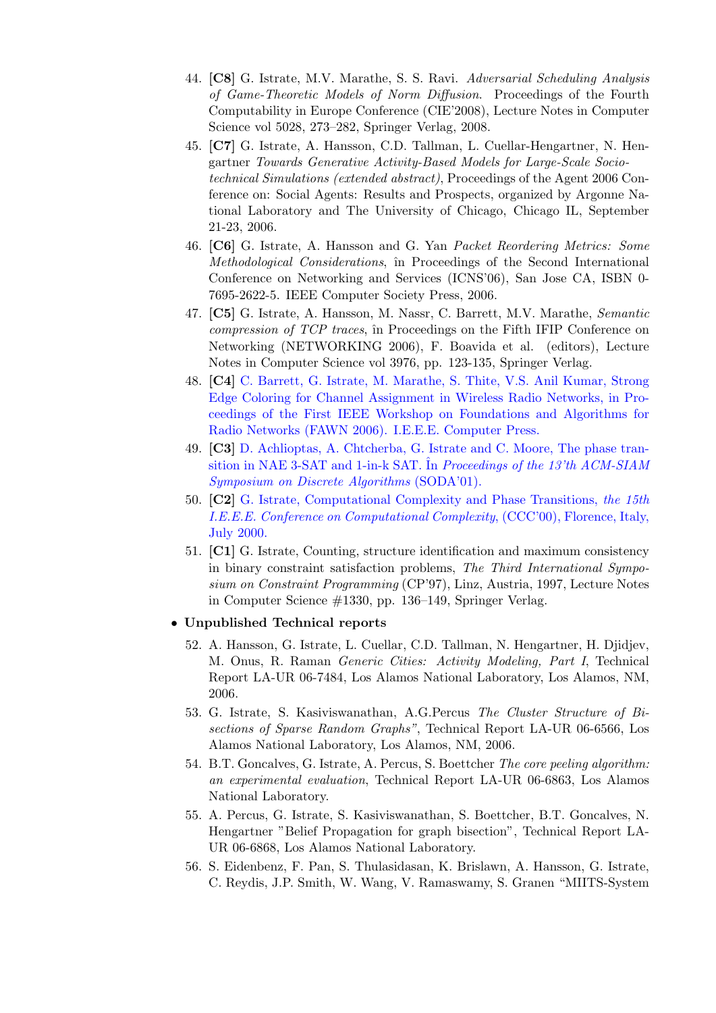- 44. [C8] G. Istrate, M.V. Marathe, S. S. Ravi. Adversarial Scheduling Analysis of Game-Theoretic Models of Norm Diffusion. Proceedings of the Fourth Computability in Europe Conference (CIE'2008), Lecture Notes in Computer Science vol 5028, 273–282, Springer Verlag, 2008.
- 45. [C7] G. Istrate, A. Hansson, C.D. Tallman, L. Cuellar-Hengartner, N. Hengartner Towards Generative Activity-Based Models for Large-Scale Sociotechnical Simulations (extended abstract), Proceedings of the Agent 2006 Conference on: Social Agents: Results and Prospects, organized by Argonne National Laboratory and The University of Chicago, Chicago IL, September 21-23, 2006.
- 46. [C6] G. Istrate, A. Hansson and G. Yan Packet Reordering Metrics: Some Methodological Considerations, în Proceedings of the Second International Conference on Networking and Services (ICNS'06), San Jose CA, ISBN 0- 7695-2622-5. IEEE Computer Society Press, 2006.
- 47. [C5] G. Istrate, A. Hansson, M. Nassr, C. Barrett, M.V. Marathe, Semantic compression of TCP traces, în Proceedings on the Fifth IFIP Conference on Networking (NETWORKING 2006), F. Boavida et al. (editors), Lecture Notes in Computer Science vol 3976, pp. 123-135, Springer Verlag.
- 48. [C4] C. Barrett, G. Istrate, M. Marathe, S. Thite, V.S. Anil Kumar, Strong Edge Coloring for Channel Assignment in Wireless Radio Networks, in Proceedings of the First IEEE Workshop on Foundations and Algorithms for Radio Networks (FAWN 2006). I.E.E.E. Computer Press.
- 49. [C3] D. Achlioptas, A. Chtcherba, G. Istrate and C. Moore, The phase transition in NAE 3-SAT and 1-in-k SAT. In Proceedings of the 13'th  $ACM$ -SIAM Symposium on Discrete Algorithms (SODA'01).
- 50. [C2] G. Istrate, Computational Complexity and Phase Transitions, the 15th I.E.E.E. Conference on Computational Complexity, (CCC'00), Florence, Italy, July 2000.
- 51. [C1] G. Istrate, Counting, structure identification and maximum consistency in binary constraint satisfaction problems, The Third International Symposium on Constraint Programming (CP'97), Linz, Austria, 1997, Lecture Notes in Computer Science #1330, pp. 136–149, Springer Verlag.

## • Unpublished Technical reports

- 52. A. Hansson, G. Istrate, L. Cuellar, C.D. Tallman, N. Hengartner, H. Djidjev, M. Onus, R. Raman Generic Cities: Activity Modeling, Part I, Technical Report LA-UR 06-7484, Los Alamos National Laboratory, Los Alamos, NM, 2006.
- 53. G. Istrate, S. Kasiviswanathan, A.G.Percus The Cluster Structure of Bisections of Sparse Random Graphs", Technical Report LA-UR 06-6566, Los Alamos National Laboratory, Los Alamos, NM, 2006.
- 54. B.T. Goncalves, G. Istrate, A. Percus, S. Boettcher The core peeling algorithm: an experimental evaluation, Technical Report LA-UR 06-6863, Los Alamos National Laboratory.
- 55. A. Percus, G. Istrate, S. Kasiviswanathan, S. Boettcher, B.T. Goncalves, N. Hengartner "Belief Propagation for graph bisection", Technical Report LA-UR 06-6868, Los Alamos National Laboratory.
- 56. S. Eidenbenz, F. Pan, S. Thulasidasan, K. Brislawn, A. Hansson, G. Istrate, C. Reydis, J.P. Smith, W. Wang, V. Ramaswamy, S. Granen "MIITS-System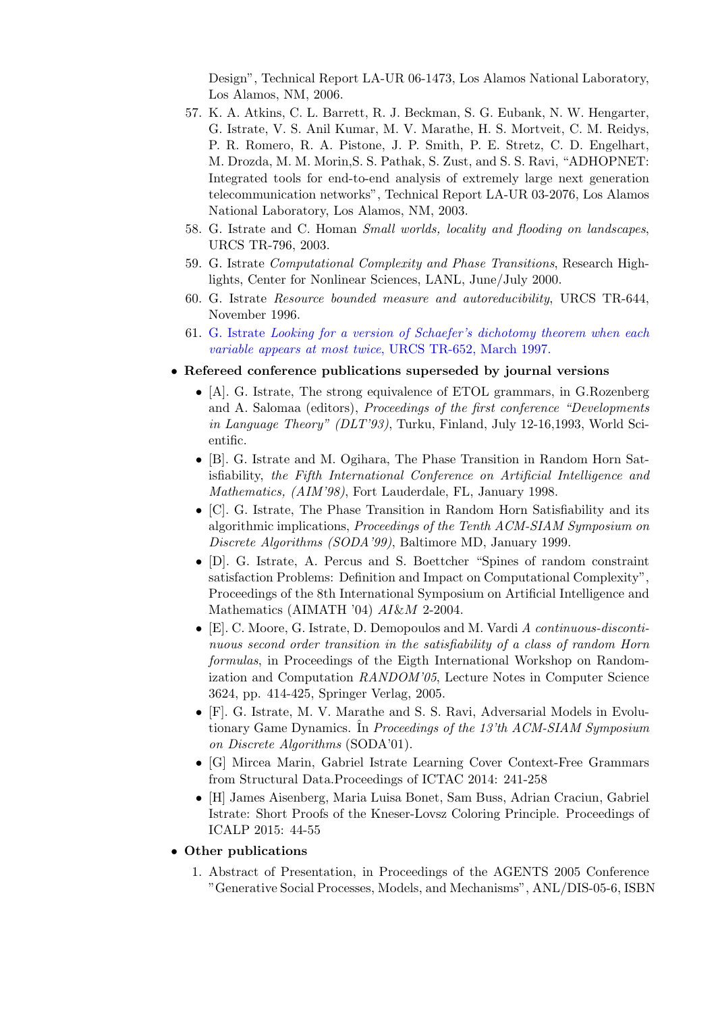Design", Technical Report LA-UR 06-1473, Los Alamos National Laboratory, Los Alamos, NM, 2006.

- 57. K. A. Atkins, C. L. Barrett, R. J. Beckman, S. G. Eubank, N. W. Hengarter, G. Istrate, V. S. Anil Kumar, M. V. Marathe, H. S. Mortveit, C. M. Reidys, P. R. Romero, R. A. Pistone, J. P. Smith, P. E. Stretz, C. D. Engelhart, M. Drozda, M. M. Morin,S. S. Pathak, S. Zust, and S. S. Ravi, "ADHOPNET: Integrated tools for end-to-end analysis of extremely large next generation telecommunication networks", Technical Report LA-UR 03-2076, Los Alamos National Laboratory, Los Alamos, NM, 2003.
- 58. G. Istrate and C. Homan Small worlds, locality and flooding on landscapes, URCS TR-796, 2003.
- 59. G. Istrate Computational Complexity and Phase Transitions, Research Highlights, Center for Nonlinear Sciences, LANL, June/July 2000.
- 60. G. Istrate Resource bounded measure and autoreducibility, URCS TR-644, November 1996.
- 61. G. Istrate Looking for a version of Schaefer's dichotomy theorem when each variable appears at most twice, URCS TR-652, March 1997.
- Refereed conference publications superseded by journal versions
	- [A]. G. Istrate, The strong equivalence of ETOL grammars, in G.Rozenberg and A. Salomaa (editors), Proceedings of the first conference "Developments in Language Theory" (DLT'93), Turku, Finland, July 12-16,1993, World Scientific.
	- [B]. G. Istrate and M. Ogihara, The Phase Transition in Random Horn Satisfiability, the Fifth International Conference on Artificial Intelligence and Mathematics, (AIM'98), Fort Lauderdale, FL, January 1998.
	- [C]. G. Istrate, The Phase Transition in Random Horn Satisfiability and its algorithmic implications, Proceedings of the Tenth ACM-SIAM Symposium on Discrete Algorithms (SODA'99), Baltimore MD, January 1999.
	- [D]. G. Istrate, A. Percus and S. Boettcher "Spines of random constraint satisfaction Problems: Definition and Impact on Computational Complexity", Proceedings of the 8th International Symposium on Artificial Intelligence and Mathematics (AIMATH '04) AI&M 2-2004.
	- [E], C. Moore, G. Istrate, D. Demopoulos and M. Vardi A continuous-discontinuous second order transition in the satisfiability of a class of random Horn formulas, in Proceedings of the Eigth International Workshop on Randomization and Computation RANDOM'05, Lecture Notes in Computer Science 3624, pp. 414-425, Springer Verlag, 2005.
	- [F]. G. Istrate, M. V. Marathe and S. S. Ravi, Adversarial Models in Evolutionary Game Dynamics. In Proceedings of the 13'th ACM-SIAM Symposium on Discrete Algorithms (SODA'01).
	- [G] Mircea Marin, Gabriel Istrate Learning Cover Context-Free Grammars from Structural Data.Proceedings of ICTAC 2014: 241-258
	- [H] James Aisenberg, Maria Luisa Bonet, Sam Buss, Adrian Craciun, Gabriel Istrate: Short Proofs of the Kneser-Lovsz Coloring Principle. Proceedings of ICALP 2015: 44-55

## • Other publications

1. Abstract of Presentation, in Proceedings of the AGENTS 2005 Conference "Generative Social Processes, Models, and Mechanisms", ANL/DIS-05-6, ISBN